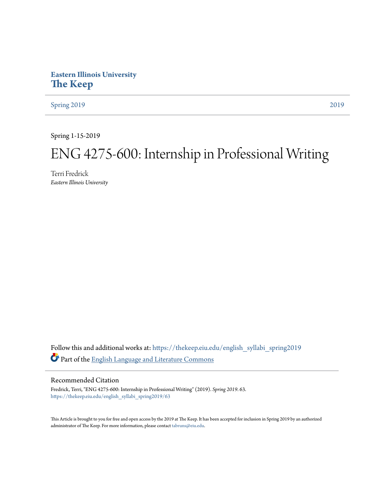# **Eastern Illinois University [The Keep](https://thekeep.eiu.edu?utm_source=thekeep.eiu.edu%2Fenglish_syllabi_spring2019%2F63&utm_medium=PDF&utm_campaign=PDFCoverPages)**

[Spring 2019](https://thekeep.eiu.edu/english_syllabi_spring2019?utm_source=thekeep.eiu.edu%2Fenglish_syllabi_spring2019%2F63&utm_medium=PDF&utm_campaign=PDFCoverPages) [2019](https://thekeep.eiu.edu/english_syllabi2019?utm_source=thekeep.eiu.edu%2Fenglish_syllabi_spring2019%2F63&utm_medium=PDF&utm_campaign=PDFCoverPages)

Spring 1-15-2019

# ENG 4275-600: Internship in Professional Writing

Terri Fredrick *Eastern Illinois University*

Follow this and additional works at: [https://thekeep.eiu.edu/english\\_syllabi\\_spring2019](https://thekeep.eiu.edu/english_syllabi_spring2019?utm_source=thekeep.eiu.edu%2Fenglish_syllabi_spring2019%2F63&utm_medium=PDF&utm_campaign=PDFCoverPages) Part of the [English Language and Literature Commons](http://network.bepress.com/hgg/discipline/455?utm_source=thekeep.eiu.edu%2Fenglish_syllabi_spring2019%2F63&utm_medium=PDF&utm_campaign=PDFCoverPages)

#### Recommended Citation

Fredrick, Terri, "ENG 4275-600: Internship in Professional Writing" (2019). *Spring 2019*. 63. [https://thekeep.eiu.edu/english\\_syllabi\\_spring2019/63](https://thekeep.eiu.edu/english_syllabi_spring2019/63?utm_source=thekeep.eiu.edu%2Fenglish_syllabi_spring2019%2F63&utm_medium=PDF&utm_campaign=PDFCoverPages)

This Article is brought to you for free and open access by the 2019 at The Keep. It has been accepted for inclusion in Spring 2019 by an authorized administrator of The Keep. For more information, please contact [tabruns@eiu.edu.](mailto:tabruns@eiu.edu)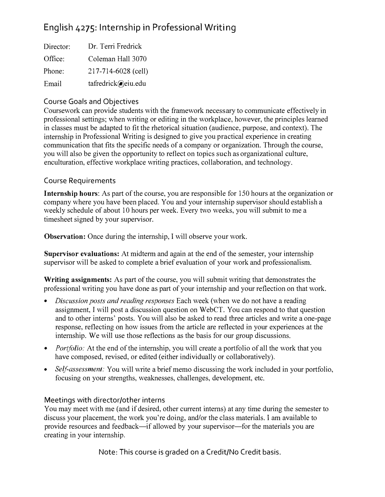# English 4275: Internship in Professional Writing

| Director: | Dr. Terri Fredrick  |
|-----------|---------------------|
| Office:   | Coleman Hall 3070   |
| Phone:    | 217-714-6028 (cell) |
| Email     | tafredrick@eiu.edu  |

## Course Goals and Objectives

Coursework can provide students with the framework necessary to communicate effectively in professional settings; when writing or editing in the workplace, however, the principles learned in classes must be adapted to fit the rhetorical situation (audience, purpose, and context). The internship in Professional Writing is designed to give you practical experience in creating communication that fits the specific needs of a company or organization. Through the course, you will also be given the opportunity to reflect on topics such as organizational culture, enculturation, effective workplace writing practices, collaboration, and technology.

### Course Requirements

Internship hours: As part of the course, you are responsible for 150 hours at the organization or company where you have been placed. You and your internship supervisor should establish a weekly schedule of about 10 hours per week. Every two weeks, you will submit to me a timesheet signed by your supervisor.

Observation: Once during the internship, I will observe your work.

Supervisor evaluations: At midterm and again at the end of the semester, your internship supervisor will be asked to complete a brief evaluation of your work and professionalism.

Writing assignments: As part of the course, you will submit writing that demonstrates the professional writing you have done as part of your internship and your reflection on that work.

- Discussion posts and reading responses Each week (when we do not have a reading assignment, I will post a discussion question on WebCT. You can respond to that question and to other interns' posts. You will also be asked to read three articles and write a one-page response, reflecting on how issues from the article are reflected in your experiences at the internship. We will use those reflections as the basis for our group discussions.
- *Portfolio:* At the end of the internship, you will create a portfolio of all the work that you have composed, revised, or edited (either individually or collaboratively).
- Self-assessment: You will write a brief memo discussing the work included in your portfolio, focusing on your strengths, weaknesses, challenges, development, etc.

# Meetings with director/other interns

You may meet with me (and if desired, other current interns) at any time during the semester to discuss your placement, the work you're doing, and/or the class materials. I am available to provide resources and feedback—if allowed by your supervisor—for the materials you are creating in your internship.

Note: This course is graded on a Credit/No Credit basis.